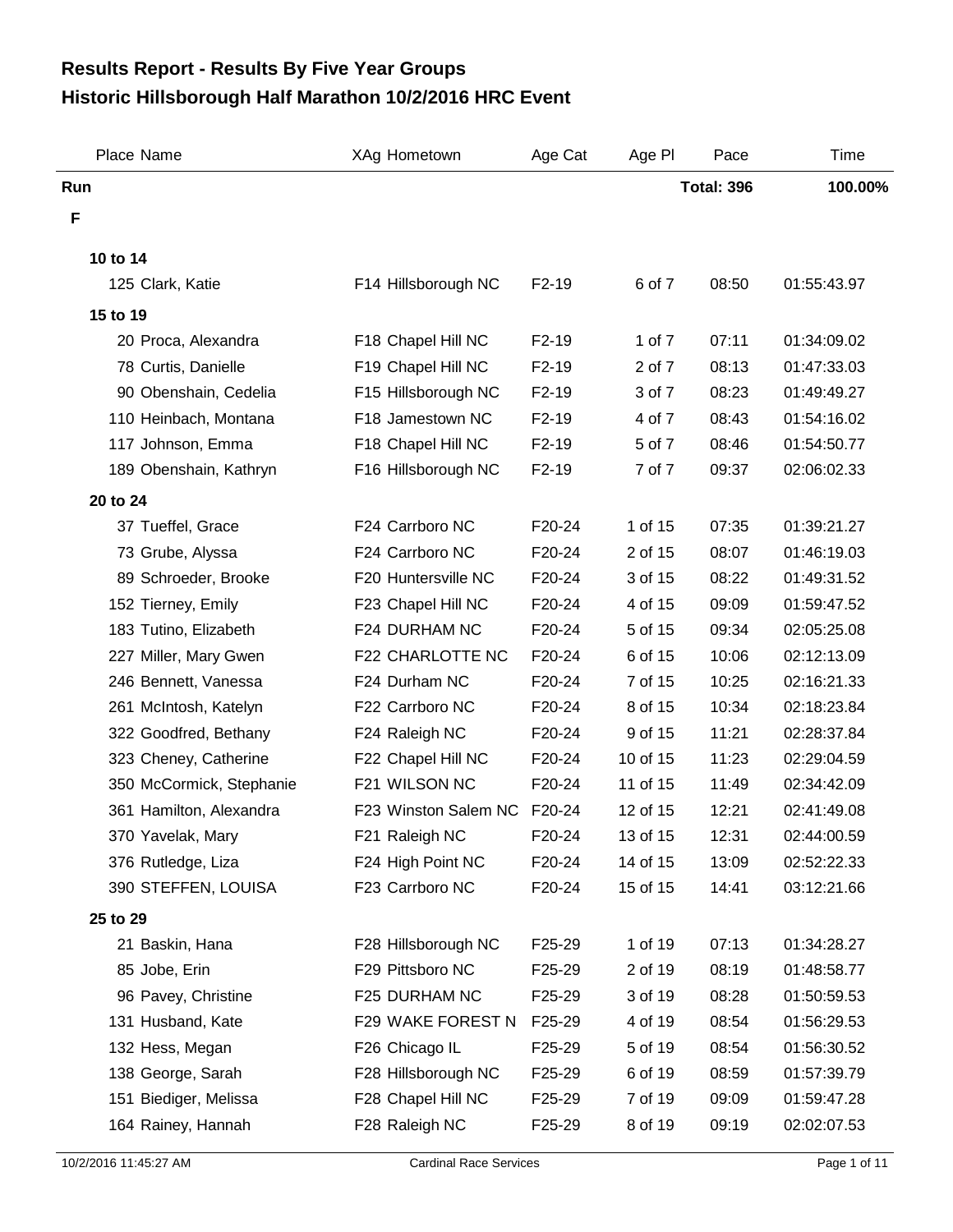## **Historic Hillsborough Half Marathon 10/2/2016 HRC Event Results Report - Results By Five Year Groups**

| Place Name               | XAg Hometown         | Age Cat | Age PI   | Pace              | Time        |
|--------------------------|----------------------|---------|----------|-------------------|-------------|
| Run                      |                      |         |          | <b>Total: 396</b> | 100.00%     |
| F                        |                      |         |          |                   |             |
| 10 to 14                 |                      |         |          |                   |             |
| 125 Clark, Katie         | F14 Hillsborough NC  | $F2-19$ | 6 of 7   | 08:50             | 01:55:43.97 |
|                          |                      |         |          |                   |             |
| 15 to 19                 |                      |         |          |                   |             |
| 20 Proca, Alexandra      | F18 Chapel Hill NC   | $F2-19$ | 1 of 7   | 07:11             | 01:34:09.02 |
| 78 Curtis, Danielle      | F19 Chapel Hill NC   | $F2-19$ | 2 of 7   | 08:13             | 01:47:33.03 |
| 90 Obenshain, Cedelia    | F15 Hillsborough NC  | $F2-19$ | 3 of 7   | 08:23             | 01:49:49.27 |
| 110 Heinbach, Montana    | F18 Jamestown NC     | $F2-19$ | 4 of 7   | 08:43             | 01:54:16.02 |
| 117 Johnson, Emma        | F18 Chapel Hill NC   | $F2-19$ | 5 of 7   | 08:46             | 01:54:50.77 |
| 189 Obenshain, Kathryn   | F16 Hillsborough NC  | $F2-19$ | 7 of 7   | 09:37             | 02:06:02.33 |
| 20 to 24                 |                      |         |          |                   |             |
| 37 Tueffel, Grace        | F24 Carrboro NC      | F20-24  | 1 of 15  | 07:35             | 01:39:21.27 |
| 73 Grube, Alyssa         | F24 Carrboro NC      | F20-24  | 2 of 15  | 08:07             | 01:46:19.03 |
| 89 Schroeder, Brooke     | F20 Huntersville NC  | F20-24  | 3 of 15  | 08:22             | 01:49:31.52 |
| 152 Tierney, Emily       | F23 Chapel Hill NC   | F20-24  | 4 of 15  | 09:09             | 01:59:47.52 |
| 183 Tutino, Elizabeth    | F24 DURHAM NC        | F20-24  | 5 of 15  | 09:34             | 02:05:25.08 |
| 227 Miller, Mary Gwen    | F22 CHARLOTTE NC     | F20-24  | 6 of 15  | 10:06             | 02:12:13.09 |
| 246 Bennett, Vanessa     | F24 Durham NC        | F20-24  | 7 of 15  | 10:25             | 02:16:21.33 |
| 261 McIntosh, Katelyn    | F22 Carrboro NC      | F20-24  | 8 of 15  | 10:34             | 02:18:23.84 |
| 322 Goodfred, Bethany    | F24 Raleigh NC       | F20-24  | 9 of 15  | 11:21             | 02:28:37.84 |
| 323 Cheney, Catherine    | F22 Chapel Hill NC   | F20-24  | 10 of 15 | 11:23             | 02:29:04.59 |
| 350 McCormick, Stephanie | F21 WILSON NC        | F20-24  | 11 of 15 | 11:49             | 02:34:42.09 |
| 361 Hamilton, Alexandra  | F23 Winston Salem NC | F20-24  | 12 of 15 | 12:21             | 02:41:49.08 |
| 370 Yavelak, Mary        | F21 Raleigh NC       | F20-24  | 13 of 15 | 12:31             | 02:44:00.59 |
| 376 Rutledge, Liza       | F24 High Point NC    | F20-24  | 14 of 15 | 13:09             | 02:52:22.33 |
| 390 STEFFEN, LOUISA      | F23 Carrboro NC      | F20-24  | 15 of 15 | 14:41             | 03:12:21.66 |
| 25 to 29                 |                      |         |          |                   |             |
| 21 Baskin, Hana          | F28 Hillsborough NC  | F25-29  | 1 of 19  | 07:13             | 01:34:28.27 |
| 85 Jobe, Erin            | F29 Pittsboro NC     | F25-29  | 2 of 19  | 08:19             | 01:48:58.77 |
| 96 Pavey, Christine      | F25 DURHAM NC        | F25-29  | 3 of 19  | 08:28             | 01:50:59.53 |
| 131 Husband, Kate        | F29 WAKE FOREST N    | F25-29  | 4 of 19  | 08:54             | 01:56:29.53 |
| 132 Hess, Megan          | F26 Chicago IL       | F25-29  | 5 of 19  | 08:54             | 01:56:30.52 |
| 138 George, Sarah        | F28 Hillsborough NC  | F25-29  | 6 of 19  | 08:59             | 01:57:39.79 |
| 151 Biediger, Melissa    | F28 Chapel Hill NC   | F25-29  | 7 of 19  | 09:09             | 01:59:47.28 |
| 164 Rainey, Hannah       | F28 Raleigh NC       | F25-29  | 8 of 19  | 09:19             | 02:02:07.53 |
|                          |                      |         |          |                   |             |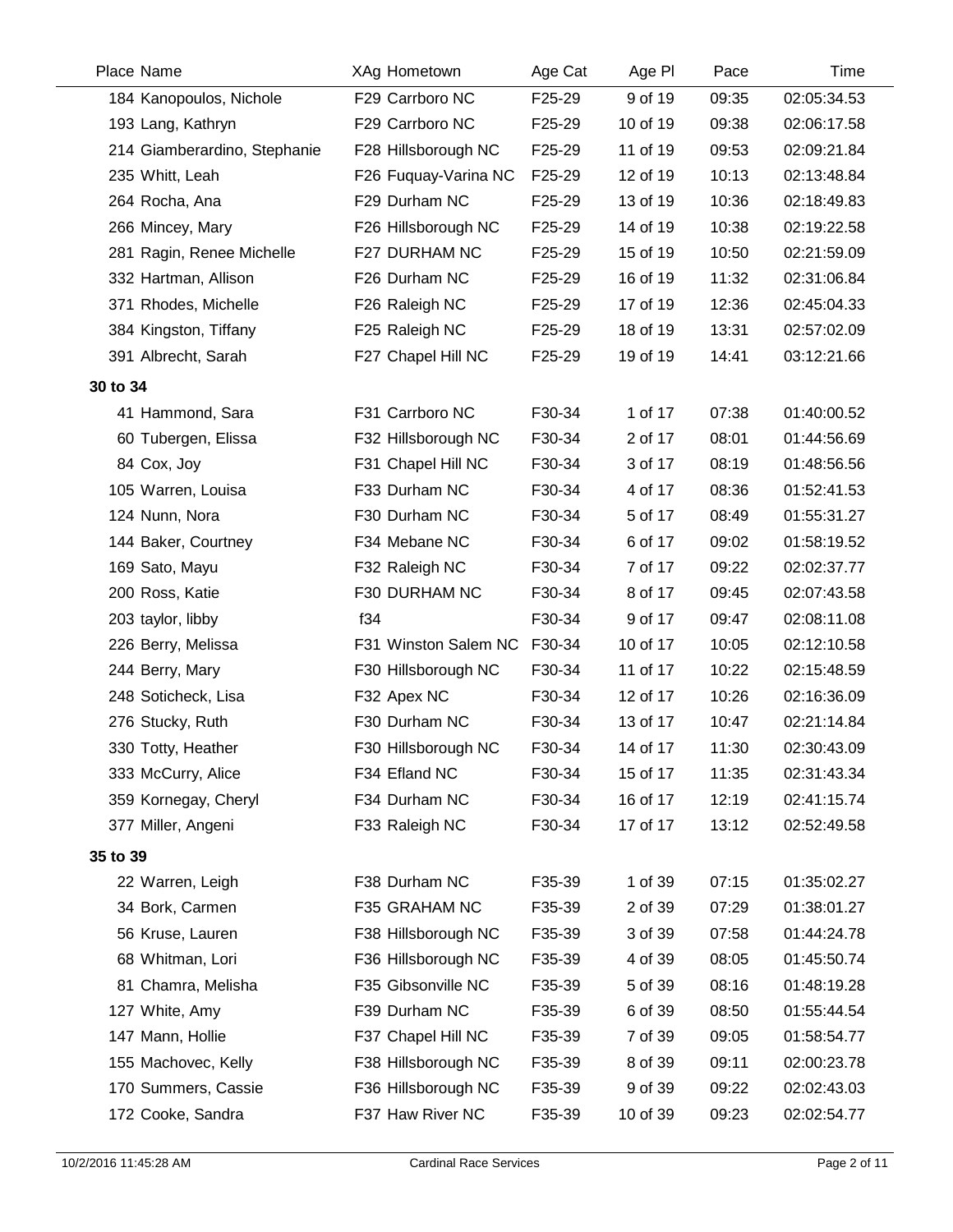| Place Name                   | XAg Hometown         | Age Cat | Age PI   | Pace  | Time        |
|------------------------------|----------------------|---------|----------|-------|-------------|
| 184 Kanopoulos, Nichole      | F29 Carrboro NC      | F25-29  | 9 of 19  | 09:35 | 02:05:34.53 |
| 193 Lang, Kathryn            | F29 Carrboro NC      | F25-29  | 10 of 19 | 09:38 | 02:06:17.58 |
| 214 Giamberardino, Stephanie | F28 Hillsborough NC  | F25-29  | 11 of 19 | 09:53 | 02:09:21.84 |
| 235 Whitt, Leah              | F26 Fuquay-Varina NC | F25-29  | 12 of 19 | 10:13 | 02:13:48.84 |
| 264 Rocha, Ana               | F29 Durham NC        | F25-29  | 13 of 19 | 10:36 | 02:18:49.83 |
| 266 Mincey, Mary             | F26 Hillsborough NC  | F25-29  | 14 of 19 | 10:38 | 02:19:22.58 |
| 281 Ragin, Renee Michelle    | F27 DURHAM NC        | F25-29  | 15 of 19 | 10:50 | 02:21:59.09 |
| 332 Hartman, Allison         | F26 Durham NC        | F25-29  | 16 of 19 | 11:32 | 02:31:06.84 |
| 371 Rhodes, Michelle         | F26 Raleigh NC       | F25-29  | 17 of 19 | 12:36 | 02:45:04.33 |
| 384 Kingston, Tiffany        | F25 Raleigh NC       | F25-29  | 18 of 19 | 13:31 | 02:57:02.09 |
| 391 Albrecht, Sarah          | F27 Chapel Hill NC   | F25-29  | 19 of 19 | 14:41 | 03:12:21.66 |
| 30 to 34                     |                      |         |          |       |             |
| 41 Hammond, Sara             | F31 Carrboro NC      | F30-34  | 1 of 17  | 07:38 | 01:40:00.52 |
| 60 Tubergen, Elissa          | F32 Hillsborough NC  | F30-34  | 2 of 17  | 08:01 | 01:44:56.69 |
| 84 Cox, Joy                  | F31 Chapel Hill NC   | F30-34  | 3 of 17  | 08:19 | 01:48:56.56 |
| 105 Warren, Louisa           | F33 Durham NC        | F30-34  | 4 of 17  | 08:36 | 01:52:41.53 |
| 124 Nunn, Nora               | F30 Durham NC        | F30-34  | 5 of 17  | 08:49 | 01:55:31.27 |
| 144 Baker, Courtney          | F34 Mebane NC        | F30-34  | 6 of 17  | 09:02 | 01:58:19.52 |
| 169 Sato, Mayu               | F32 Raleigh NC       | F30-34  | 7 of 17  | 09:22 | 02:02:37.77 |
| 200 Ross, Katie              | F30 DURHAM NC        | F30-34  | 8 of 17  | 09:45 | 02:07:43.58 |
| 203 taylor, libby            | f34                  | F30-34  | 9 of 17  | 09:47 | 02:08:11.08 |
| 226 Berry, Melissa           | F31 Winston Salem NC | F30-34  | 10 of 17 | 10:05 | 02:12:10.58 |
| 244 Berry, Mary              | F30 Hillsborough NC  | F30-34  | 11 of 17 | 10:22 | 02:15:48.59 |
| 248 Soticheck, Lisa          | F32 Apex NC          | F30-34  | 12 of 17 | 10:26 | 02:16:36.09 |
| 276 Stucky, Ruth             | F30 Durham NC        | F30-34  | 13 of 17 | 10:47 | 02:21:14.84 |
| 330 Totty, Heather           | F30 Hillsborough NC  | F30-34  | 14 of 17 | 11:30 | 02:30:43.09 |
| 333 McCurry, Alice           | F34 Efland NC        | F30-34  | 15 of 17 | 11:35 | 02:31:43.34 |
| 359 Kornegay, Cheryl         | F34 Durham NC        | F30-34  | 16 of 17 | 12:19 | 02:41:15.74 |
| 377 Miller, Angeni           | F33 Raleigh NC       | F30-34  | 17 of 17 | 13:12 | 02:52:49.58 |
| 35 to 39                     |                      |         |          |       |             |
| 22 Warren, Leigh             | F38 Durham NC        | F35-39  | 1 of 39  | 07:15 | 01:35:02.27 |
| 34 Bork, Carmen              | F35 GRAHAM NC        | F35-39  | 2 of 39  | 07:29 | 01:38:01.27 |
| 56 Kruse, Lauren             | F38 Hillsborough NC  | F35-39  | 3 of 39  | 07:58 | 01:44:24.78 |
| 68 Whitman, Lori             | F36 Hillsborough NC  | F35-39  | 4 of 39  | 08:05 | 01:45:50.74 |
| 81 Chamra, Melisha           | F35 Gibsonville NC   | F35-39  | 5 of 39  | 08:16 | 01:48:19.28 |
| 127 White, Amy               | F39 Durham NC        | F35-39  | 6 of 39  | 08:50 | 01:55:44.54 |
| 147 Mann, Hollie             | F37 Chapel Hill NC   | F35-39  | 7 of 39  | 09:05 | 01:58:54.77 |
| 155 Machovec, Kelly          | F38 Hillsborough NC  | F35-39  | 8 of 39  | 09:11 | 02:00:23.78 |
| 170 Summers, Cassie          | F36 Hillsborough NC  | F35-39  | 9 of 39  | 09:22 | 02:02:43.03 |
| 172 Cooke, Sandra            | F37 Haw River NC     | F35-39  | 10 of 39 | 09:23 | 02:02:54.77 |
|                              |                      |         |          |       |             |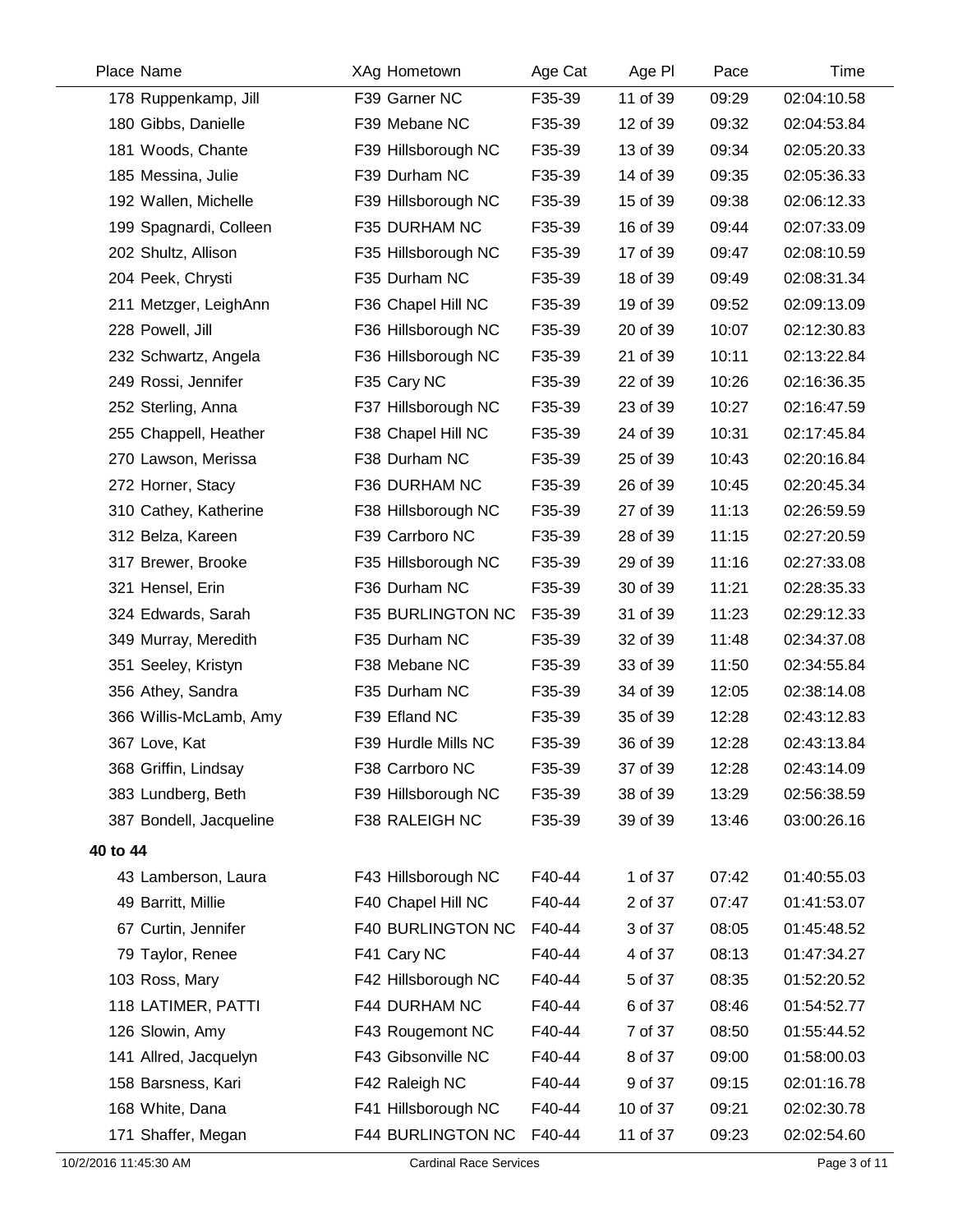| Place Name              | XAg Hometown        | Age Cat | Age PI   | Pace  | <b>Time</b> |
|-------------------------|---------------------|---------|----------|-------|-------------|
| 178 Ruppenkamp, Jill    | F39 Garner NC       | F35-39  | 11 of 39 | 09:29 | 02:04:10.58 |
| 180 Gibbs, Danielle     | F39 Mebane NC       | F35-39  | 12 of 39 | 09:32 | 02:04:53.84 |
| 181 Woods, Chante       | F39 Hillsborough NC | F35-39  | 13 of 39 | 09:34 | 02:05:20.33 |
| 185 Messina, Julie      | F39 Durham NC       | F35-39  | 14 of 39 | 09:35 | 02:05:36.33 |
| 192 Wallen, Michelle    | F39 Hillsborough NC | F35-39  | 15 of 39 | 09:38 | 02:06:12.33 |
| 199 Spagnardi, Colleen  | F35 DURHAM NC       | F35-39  | 16 of 39 | 09:44 | 02:07:33.09 |
| 202 Shultz, Allison     | F35 Hillsborough NC | F35-39  | 17 of 39 | 09:47 | 02:08:10.59 |
| 204 Peek, Chrysti       | F35 Durham NC       | F35-39  | 18 of 39 | 09:49 | 02:08:31.34 |
| 211 Metzger, LeighAnn   | F36 Chapel Hill NC  | F35-39  | 19 of 39 | 09:52 | 02:09:13.09 |
| 228 Powell, Jill        | F36 Hillsborough NC | F35-39  | 20 of 39 | 10:07 | 02:12:30.83 |
| 232 Schwartz, Angela    | F36 Hillsborough NC | F35-39  | 21 of 39 | 10:11 | 02:13:22.84 |
| 249 Rossi, Jennifer     | F35 Cary NC         | F35-39  | 22 of 39 | 10:26 | 02:16:36.35 |
| 252 Sterling, Anna      | F37 Hillsborough NC | F35-39  | 23 of 39 | 10:27 | 02:16:47.59 |
| 255 Chappell, Heather   | F38 Chapel Hill NC  | F35-39  | 24 of 39 | 10:31 | 02:17:45.84 |
| 270 Lawson, Merissa     | F38 Durham NC       | F35-39  | 25 of 39 | 10:43 | 02:20:16.84 |
| 272 Horner, Stacy       | F36 DURHAM NC       | F35-39  | 26 of 39 | 10:45 | 02:20:45.34 |
| 310 Cathey, Katherine   | F38 Hillsborough NC | F35-39  | 27 of 39 | 11:13 | 02:26:59.59 |
| 312 Belza, Kareen       | F39 Carrboro NC     | F35-39  | 28 of 39 | 11:15 | 02:27:20.59 |
| 317 Brewer, Brooke      | F35 Hillsborough NC | F35-39  | 29 of 39 | 11:16 | 02:27:33.08 |
| 321 Hensel, Erin        | F36 Durham NC       | F35-39  | 30 of 39 | 11:21 | 02:28:35.33 |
| 324 Edwards, Sarah      | F35 BURLINGTON NC   | F35-39  | 31 of 39 | 11:23 | 02:29:12.33 |
| 349 Murray, Meredith    | F35 Durham NC       | F35-39  | 32 of 39 | 11:48 | 02:34:37.08 |
| 351 Seeley, Kristyn     | F38 Mebane NC       | F35-39  | 33 of 39 | 11:50 | 02:34:55.84 |
| 356 Athey, Sandra       | F35 Durham NC       | F35-39  | 34 of 39 | 12:05 | 02:38:14.08 |
| 366 Willis-McLamb, Amy  | F39 Efland NC       | F35-39  | 35 of 39 | 12:28 | 02:43:12.83 |
| 367 Love, Kat           | F39 Hurdle Mills NC | F35-39  | 36 of 39 | 12:28 | 02:43:13.84 |
| 368 Griffin, Lindsay    | F38 Carrboro NC     | F35-39  | 37 of 39 | 12:28 | 02:43:14.09 |
| 383 Lundberg, Beth      | F39 Hillsborough NC | F35-39  | 38 of 39 | 13:29 | 02:56:38.59 |
| 387 Bondell, Jacqueline | F38 RALEIGH NC      | F35-39  | 39 of 39 | 13:46 | 03:00:26.16 |
| 40 to 44                |                     |         |          |       |             |
| 43 Lamberson, Laura     | F43 Hillsborough NC | F40-44  | 1 of 37  | 07:42 | 01:40:55.03 |
| 49 Barritt, Millie      | F40 Chapel Hill NC  | F40-44  | 2 of 37  | 07:47 | 01:41:53.07 |
| 67 Curtin, Jennifer     | F40 BURLINGTON NC   | F40-44  | 3 of 37  | 08:05 | 01:45:48.52 |
| 79 Taylor, Renee        | F41 Cary NC         | F40-44  | 4 of 37  | 08:13 | 01:47:34.27 |
| 103 Ross, Mary          | F42 Hillsborough NC | F40-44  | 5 of 37  | 08:35 | 01:52:20.52 |
| 118 LATIMER, PATTI      | F44 DURHAM NC       | F40-44  | 6 of 37  | 08:46 | 01:54:52.77 |
| 126 Slowin, Amy         | F43 Rougemont NC    | F40-44  | 7 of 37  | 08:50 | 01:55:44.52 |
| 141 Allred, Jacquelyn   | F43 Gibsonville NC  | F40-44  | 8 of 37  | 09:00 | 01:58:00.03 |
| 158 Barsness, Kari      | F42 Raleigh NC      | F40-44  | 9 of 37  | 09:15 | 02:01:16.78 |
| 168 White, Dana         | F41 Hillsborough NC | F40-44  | 10 of 37 | 09:21 | 02:02:30.78 |
| 171 Shaffer, Megan      | F44 BURLINGTON NC   | F40-44  | 11 of 37 | 09:23 | 02:02:54.60 |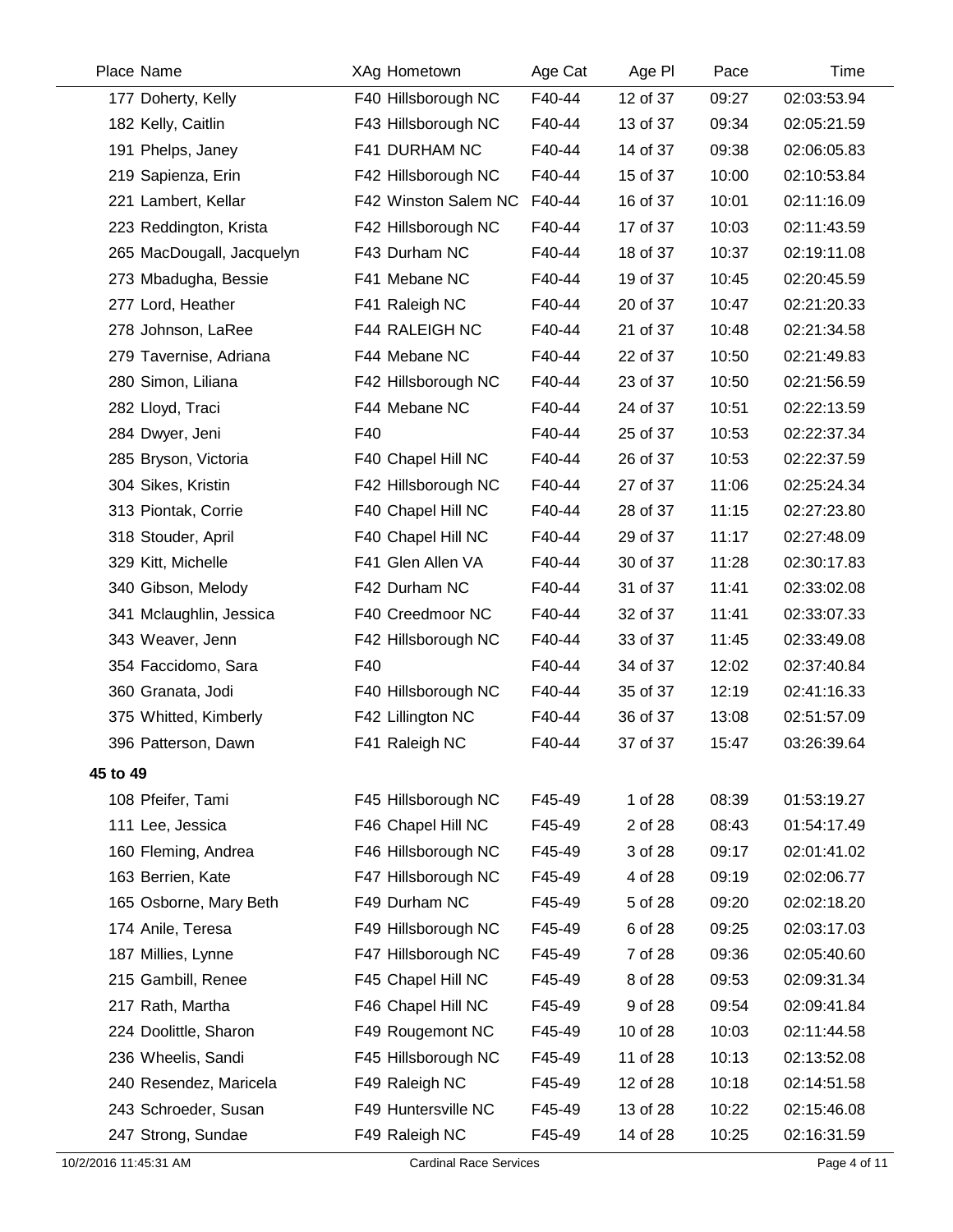| Place Name                | XAg Hometown         | Age Cat | Age PI   | Pace  | Time        |
|---------------------------|----------------------|---------|----------|-------|-------------|
| 177 Doherty, Kelly        | F40 Hillsborough NC  | F40-44  | 12 of 37 | 09:27 | 02:03:53.94 |
| 182 Kelly, Caitlin        | F43 Hillsborough NC  | F40-44  | 13 of 37 | 09:34 | 02:05:21.59 |
| 191 Phelps, Janey         | F41 DURHAM NC        | F40-44  | 14 of 37 | 09:38 | 02:06:05.83 |
| 219 Sapienza, Erin        | F42 Hillsborough NC  | F40-44  | 15 of 37 | 10:00 | 02:10:53.84 |
| 221 Lambert, Kellar       | F42 Winston Salem NC | F40-44  | 16 of 37 | 10:01 | 02:11:16.09 |
| 223 Reddington, Krista    | F42 Hillsborough NC  | F40-44  | 17 of 37 | 10:03 | 02:11:43.59 |
| 265 MacDougall, Jacquelyn | F43 Durham NC        | F40-44  | 18 of 37 | 10:37 | 02:19:11.08 |
| 273 Mbadugha, Bessie      | F41 Mebane NC        | F40-44  | 19 of 37 | 10:45 | 02:20:45.59 |
| 277 Lord, Heather         | F41 Raleigh NC       | F40-44  | 20 of 37 | 10:47 | 02:21:20.33 |
| 278 Johnson, LaRee        | F44 RALEIGH NC       | F40-44  | 21 of 37 | 10:48 | 02:21:34.58 |
| 279 Tavernise, Adriana    | F44 Mebane NC        | F40-44  | 22 of 37 | 10:50 | 02:21:49.83 |
| 280 Simon, Liliana        | F42 Hillsborough NC  | F40-44  | 23 of 37 | 10:50 | 02:21:56.59 |
| 282 Lloyd, Traci          | F44 Mebane NC        | F40-44  | 24 of 37 | 10:51 | 02:22:13.59 |
| 284 Dwyer, Jeni           | F40                  | F40-44  | 25 of 37 | 10:53 | 02:22:37.34 |
| 285 Bryson, Victoria      | F40 Chapel Hill NC   | F40-44  | 26 of 37 | 10:53 | 02:22:37.59 |
| 304 Sikes, Kristin        | F42 Hillsborough NC  | F40-44  | 27 of 37 | 11:06 | 02:25:24.34 |
| 313 Piontak, Corrie       | F40 Chapel Hill NC   | F40-44  | 28 of 37 | 11:15 | 02:27:23.80 |
| 318 Stouder, April        | F40 Chapel Hill NC   | F40-44  | 29 of 37 | 11:17 | 02:27:48.09 |
| 329 Kitt, Michelle        | F41 Glen Allen VA    | F40-44  | 30 of 37 | 11:28 | 02:30:17.83 |
| 340 Gibson, Melody        | F42 Durham NC        | F40-44  | 31 of 37 | 11:41 | 02:33:02.08 |
| 341 Mclaughlin, Jessica   | F40 Creedmoor NC     | F40-44  | 32 of 37 | 11:41 | 02:33:07.33 |
| 343 Weaver, Jenn          | F42 Hillsborough NC  | F40-44  | 33 of 37 | 11:45 | 02:33:49.08 |
| 354 Faccidomo, Sara       | F40                  | F40-44  | 34 of 37 | 12:02 | 02:37:40.84 |
| 360 Granata, Jodi         | F40 Hillsborough NC  | F40-44  | 35 of 37 | 12:19 | 02:41:16.33 |
| 375 Whitted, Kimberly     | F42 Lillington NC    | F40-44  | 36 of 37 | 13:08 | 02:51:57.09 |
| 396 Patterson, Dawn       | F41 Raleigh NC       | F40-44  | 37 of 37 | 15:47 | 03:26:39.64 |
| 45 to 49                  |                      |         |          |       |             |
| 108 Pfeifer, Tami         | F45 Hillsborough NC  | F45-49  | 1 of 28  | 08:39 | 01:53:19.27 |
| 111 Lee, Jessica          | F46 Chapel Hill NC   | F45-49  | 2 of 28  | 08:43 | 01:54:17.49 |
| 160 Fleming, Andrea       | F46 Hillsborough NC  | F45-49  | 3 of 28  | 09:17 | 02:01:41.02 |
| 163 Berrien, Kate         | F47 Hillsborough NC  | F45-49  | 4 of 28  | 09:19 | 02:02:06.77 |
| 165 Osborne, Mary Beth    | F49 Durham NC        | F45-49  | 5 of 28  | 09:20 | 02:02:18.20 |
| 174 Anile, Teresa         | F49 Hillsborough NC  | F45-49  | 6 of 28  | 09:25 | 02:03:17.03 |
| 187 Millies, Lynne        | F47 Hillsborough NC  | F45-49  | 7 of 28  | 09:36 | 02:05:40.60 |
| 215 Gambill, Renee        | F45 Chapel Hill NC   | F45-49  | 8 of 28  | 09:53 | 02:09:31.34 |
| 217 Rath, Martha          | F46 Chapel Hill NC   | F45-49  | 9 of 28  | 09:54 | 02:09:41.84 |
| 224 Doolittle, Sharon     | F49 Rougemont NC     | F45-49  | 10 of 28 | 10:03 | 02:11:44.58 |
| 236 Wheelis, Sandi        | F45 Hillsborough NC  | F45-49  | 11 of 28 | 10:13 | 02:13:52.08 |
| 240 Resendez, Maricela    | F49 Raleigh NC       | F45-49  | 12 of 28 | 10:18 | 02:14:51.58 |
| 243 Schroeder, Susan      | F49 Huntersville NC  | F45-49  | 13 of 28 | 10:22 | 02:15:46.08 |
| 247 Strong, Sundae        | F49 Raleigh NC       | F45-49  | 14 of 28 | 10:25 | 02:16:31.59 |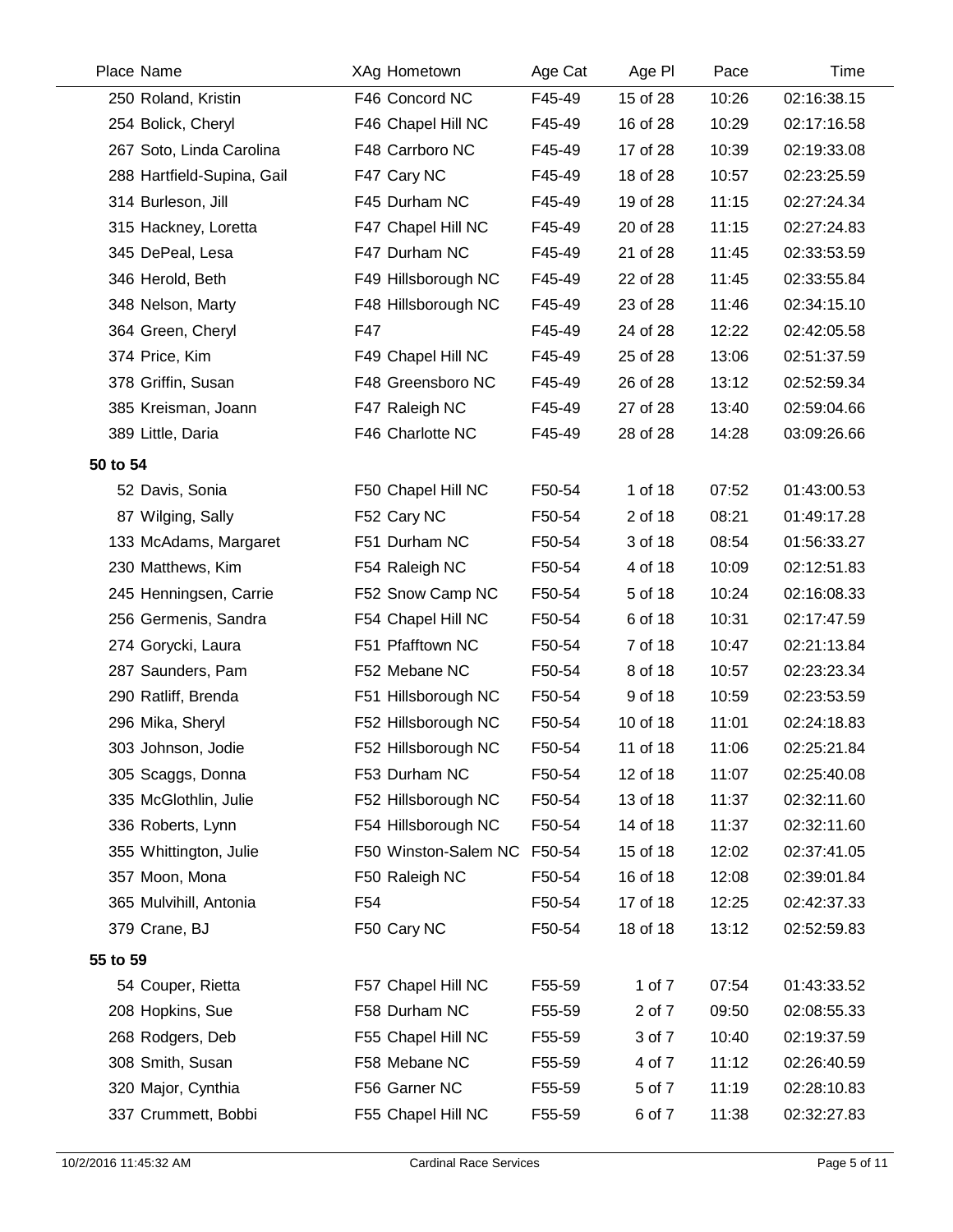| Place Name                 | XAg Hometown         | Age Cat | Age PI   | Pace  | Time        |
|----------------------------|----------------------|---------|----------|-------|-------------|
| 250 Roland, Kristin        | F46 Concord NC       | F45-49  | 15 of 28 | 10:26 | 02:16:38.15 |
| 254 Bolick, Cheryl         | F46 Chapel Hill NC   | F45-49  | 16 of 28 | 10:29 | 02:17:16.58 |
| 267 Soto, Linda Carolina   | F48 Carrboro NC      | F45-49  | 17 of 28 | 10:39 | 02:19:33.08 |
| 288 Hartfield-Supina, Gail | F47 Cary NC          | F45-49  | 18 of 28 | 10:57 | 02:23:25.59 |
| 314 Burleson, Jill         | F45 Durham NC        | F45-49  | 19 of 28 | 11:15 | 02:27:24.34 |
| 315 Hackney, Loretta       | F47 Chapel Hill NC   | F45-49  | 20 of 28 | 11:15 | 02:27:24.83 |
| 345 DePeal, Lesa           | F47 Durham NC        | F45-49  | 21 of 28 | 11:45 | 02:33:53.59 |
| 346 Herold, Beth           | F49 Hillsborough NC  | F45-49  | 22 of 28 | 11:45 | 02:33:55.84 |
| 348 Nelson, Marty          | F48 Hillsborough NC  | F45-49  | 23 of 28 | 11:46 | 02:34:15.10 |
| 364 Green, Cheryl          | F47                  | F45-49  | 24 of 28 | 12:22 | 02:42:05.58 |
| 374 Price, Kim             | F49 Chapel Hill NC   | F45-49  | 25 of 28 | 13:06 | 02:51:37.59 |
| 378 Griffin, Susan         | F48 Greensboro NC    | F45-49  | 26 of 28 | 13:12 | 02:52:59.34 |
| 385 Kreisman, Joann        | F47 Raleigh NC       | F45-49  | 27 of 28 | 13:40 | 02:59:04.66 |
| 389 Little, Daria          | F46 Charlotte NC     | F45-49  | 28 of 28 | 14:28 | 03:09:26.66 |
| 50 to 54                   |                      |         |          |       |             |
| 52 Davis, Sonia            | F50 Chapel Hill NC   | F50-54  | 1 of 18  | 07:52 | 01:43:00.53 |
| 87 Wilging, Sally          | F52 Cary NC          | F50-54  | 2 of 18  | 08:21 | 01:49:17.28 |
| 133 McAdams, Margaret      | F51 Durham NC        | F50-54  | 3 of 18  | 08:54 | 01:56:33.27 |
| 230 Matthews, Kim          | F54 Raleigh NC       | F50-54  | 4 of 18  | 10:09 | 02:12:51.83 |
| 245 Henningsen, Carrie     | F52 Snow Camp NC     | F50-54  | 5 of 18  | 10:24 | 02:16:08.33 |
| 256 Germenis, Sandra       | F54 Chapel Hill NC   | F50-54  | 6 of 18  | 10:31 | 02:17:47.59 |
| 274 Gorycki, Laura         | F51 Pfafftown NC     | F50-54  | 7 of 18  | 10:47 | 02:21:13.84 |
| 287 Saunders, Pam          | F52 Mebane NC        | F50-54  | 8 of 18  | 10:57 | 02:23:23.34 |
| 290 Ratliff, Brenda        | F51 Hillsborough NC  | F50-54  | 9 of 18  | 10:59 | 02:23:53.59 |
| 296 Mika, Sheryl           | F52 Hillsborough NC  | F50-54  | 10 of 18 | 11:01 | 02:24:18.83 |
| 303 Johnson, Jodie         | F52 Hillsborough NC  | F50-54  | 11 of 18 | 11:06 | 02:25:21.84 |
| 305 Scaggs, Donna          | F53 Durham NC        | F50-54  | 12 of 18 | 11:07 | 02:25:40.08 |
| 335 McGlothlin, Julie      | F52 Hillsborough NC  | F50-54  | 13 of 18 | 11:37 | 02:32:11.60 |
| 336 Roberts, Lynn          | F54 Hillsborough NC  | F50-54  | 14 of 18 | 11:37 | 02:32:11.60 |
| 355 Whittington, Julie     | F50 Winston-Salem NC | F50-54  | 15 of 18 | 12:02 | 02:37:41.05 |
| 357 Moon, Mona             | F50 Raleigh NC       | F50-54  | 16 of 18 | 12:08 | 02:39:01.84 |
| 365 Mulvihill, Antonia     | F <sub>54</sub>      | F50-54  | 17 of 18 | 12:25 | 02:42:37.33 |
| 379 Crane, BJ              | F50 Cary NC          | F50-54  | 18 of 18 | 13:12 | 02:52:59.83 |
| 55 to 59                   |                      |         |          |       |             |
| 54 Couper, Rietta          | F57 Chapel Hill NC   | F55-59  | 1 of 7   | 07:54 | 01:43:33.52 |
| 208 Hopkins, Sue           | F58 Durham NC        | F55-59  | 2 of 7   | 09:50 | 02:08:55.33 |
| 268 Rodgers, Deb           | F55 Chapel Hill NC   | F55-59  | 3 of 7   | 10:40 | 02:19:37.59 |
| 308 Smith, Susan           | F58 Mebane NC        | F55-59  | 4 of 7   | 11:12 | 02:26:40.59 |
| 320 Major, Cynthia         | F56 Garner NC        | F55-59  | 5 of 7   | 11:19 | 02:28:10.83 |
| 337 Crummett, Bobbi        | F55 Chapel Hill NC   | F55-59  | 6 of 7   | 11:38 | 02:32:27.83 |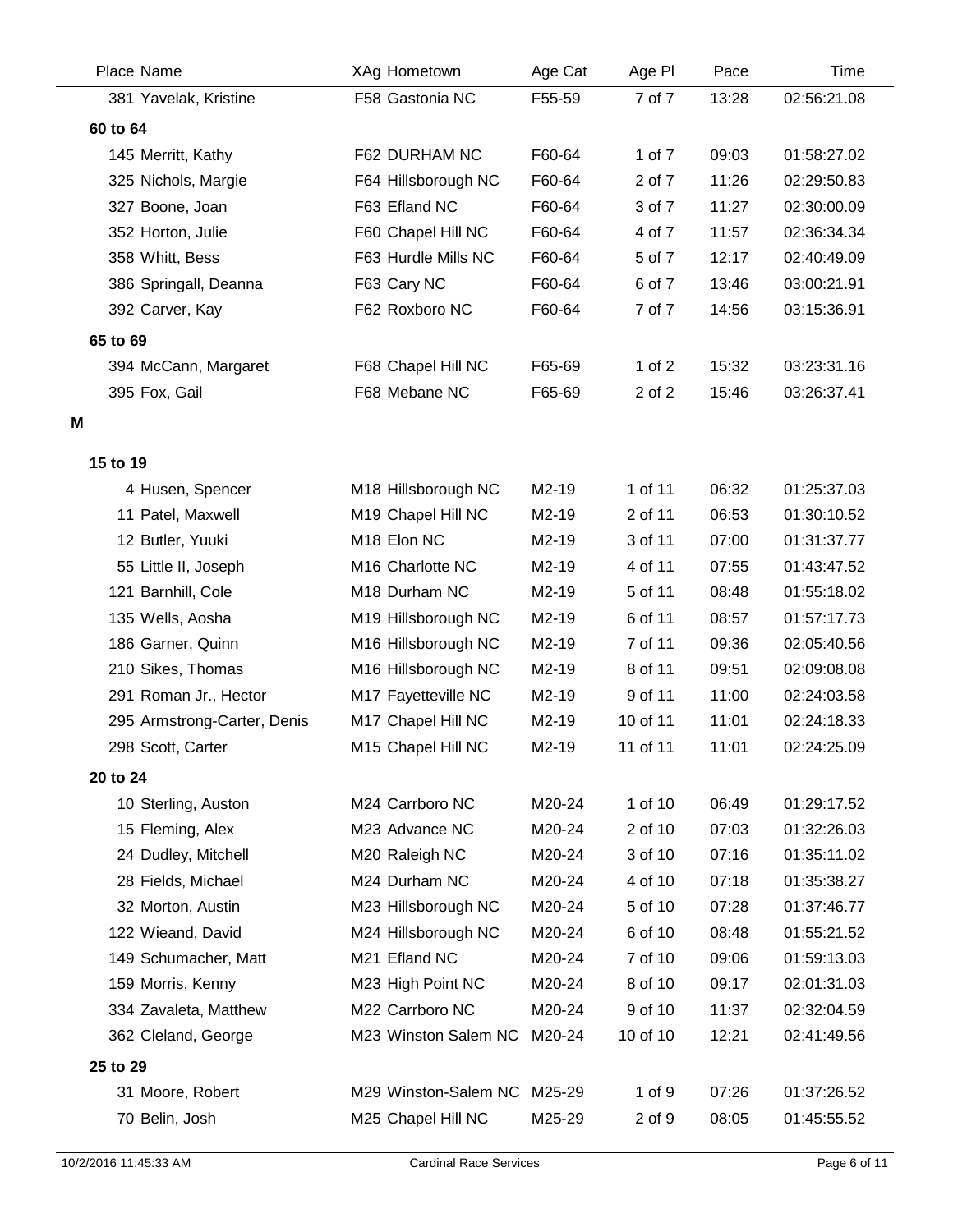| Place Name                            | XAg Hometown                      | Age Cat        | Age PI             | Pace           | <b>Time</b>                |
|---------------------------------------|-----------------------------------|----------------|--------------------|----------------|----------------------------|
| 381 Yavelak, Kristine                 | F58 Gastonia NC                   | F55-59         | 7 of 7             | 13:28          | 02:56:21.08                |
| 60 to 64                              |                                   |                |                    |                |                            |
| 145 Merritt, Kathy                    | F62 DURHAM NC                     | F60-64         | 1 of 7             | 09:03          | 01:58:27.02                |
| 325 Nichols, Margie                   | F64 Hillsborough NC               | F60-64         | 2 of 7             | 11:26          | 02:29:50.83                |
| 327 Boone, Joan                       | F63 Efland NC                     | F60-64         | 3 of 7             | 11:27          | 02:30:00.09                |
| 352 Horton, Julie                     | F60 Chapel Hill NC                | F60-64         | 4 of 7             | 11:57          | 02:36:34.34                |
| 358 Whitt, Bess                       | F63 Hurdle Mills NC               | F60-64         | 5 of 7             | 12:17          | 02:40:49.09                |
| 386 Springall, Deanna                 | F63 Cary NC                       | F60-64         | 6 of 7             | 13:46          | 03:00:21.91                |
| 392 Carver, Kay                       | F62 Roxboro NC                    | F60-64         | 7 of 7             | 14:56          | 03:15:36.91                |
| 65 to 69                              |                                   |                |                    |                |                            |
| 394 McCann, Margaret                  | F68 Chapel Hill NC                | F65-69         | 1 of $2$           | 15:32          | 03:23:31.16                |
| 395 Fox, Gail                         | F68 Mebane NC                     | F65-69         | 2 of 2             | 15:46          | 03:26:37.41                |
| Μ                                     |                                   |                |                    |                |                            |
|                                       |                                   |                |                    |                |                            |
| 15 to 19                              |                                   |                |                    |                |                            |
| 4 Husen, Spencer                      | M18 Hillsborough NC               | M2-19<br>M2-19 | 1 of 11<br>2 of 11 | 06:32<br>06:53 | 01:25:37.03<br>01:30:10.52 |
| 11 Patel, Maxwell<br>12 Butler, Yuuki | M19 Chapel Hill NC<br>M18 Elon NC | M2-19          | 3 of 11            | 07:00          | 01:31:37.77                |
| 55 Little II, Joseph                  | M16 Charlotte NC                  | M2-19          | 4 of 11            | 07:55          | 01:43:47.52                |
| 121 Barnhill, Cole                    | M18 Durham NC                     | M2-19          | 5 of 11            | 08:48          | 01:55:18.02                |
| 135 Wells, Aosha                      | M19 Hillsborough NC               | M2-19          | 6 of 11            | 08:57          | 01:57:17.73                |
| 186 Garner, Quinn                     | M16 Hillsborough NC               | M2-19          | 7 of 11            | 09:36          | 02:05:40.56                |
| 210 Sikes, Thomas                     | M16 Hillsborough NC               | M2-19          | 8 of 11            | 09:51          | 02:09:08.08                |
| 291 Roman Jr., Hector                 | M17 Fayetteville NC               | M2-19          | 9 of 11            | 11:00          | 02:24:03.58                |
| 295 Armstrong-Carter, Denis           | M17 Chapel Hill NC                | M2-19          | 10 of 11           | 11:01          | 02:24:18.33                |
| 298 Scott, Carter                     | M15 Chapel Hill NC                | M2-19          | 11 of 11           | 11:01          | 02:24:25.09                |
| 20 to 24                              |                                   |                |                    |                |                            |
| 10 Sterling, Auston                   | M24 Carrboro NC                   | M20-24         | 1 of 10            | 06:49          | 01:29:17.52                |
| 15 Fleming, Alex                      | M23 Advance NC                    | M20-24         | 2 of 10            | 07:03          | 01:32:26.03                |
| 24 Dudley, Mitchell                   | M20 Raleigh NC                    | M20-24         | 3 of 10            | 07:16          | 01:35:11.02                |
| 28 Fields, Michael                    | M24 Durham NC                     | M20-24         | 4 of 10            | 07:18          | 01:35:38.27                |
| 32 Morton, Austin                     | M23 Hillsborough NC               | M20-24         | 5 of 10            | 07:28          | 01:37:46.77                |
| 122 Wieand, David                     | M24 Hillsborough NC               | M20-24         | 6 of 10            | 08:48          | 01:55:21.52                |
| 149 Schumacher, Matt                  | M21 Efland NC                     | M20-24         | 7 of 10            | 09:06          | 01:59:13.03                |
| 159 Morris, Kenny                     | M23 High Point NC                 | M20-24         | 8 of 10            | 09:17          | 02:01:31.03                |
| 334 Zavaleta, Matthew                 | M22 Carrboro NC                   | M20-24         | 9 of 10            | 11:37          | 02:32:04.59                |
| 362 Cleland, George                   | M23 Winston Salem NC              | M20-24         | 10 of 10           | 12:21          | 02:41:49.56                |
| 25 to 29                              |                                   |                |                    |                |                            |
| 31 Moore, Robert                      | M29 Winston-Salem NC              | M25-29         | 1 of 9             | 07:26          | 01:37:26.52                |
| 70 Belin, Josh                        | M25 Chapel Hill NC                | M25-29         | 2 of 9             | 08:05          | 01:45:55.52                |
|                                       |                                   |                |                    |                |                            |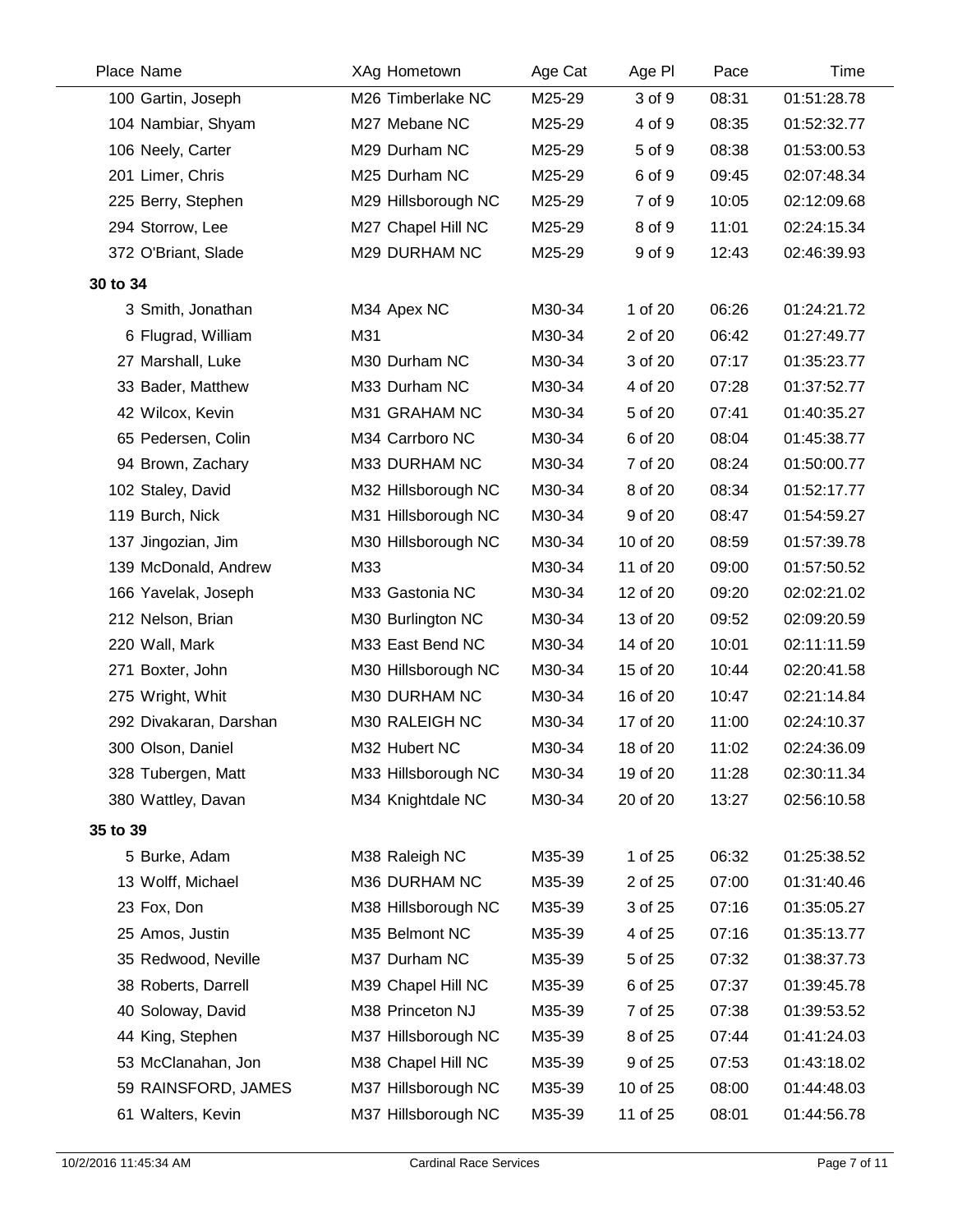| Place Name             | XAg Hometown        | Age Cat | Age PI   | Pace  | <b>Time</b> |
|------------------------|---------------------|---------|----------|-------|-------------|
| 100 Gartin, Joseph     | M26 Timberlake NC   | M25-29  | 3 of 9   | 08:31 | 01:51:28.78 |
| 104 Nambiar, Shyam     | M27 Mebane NC       | M25-29  | 4 of 9   | 08:35 | 01:52:32.77 |
| 106 Neely, Carter      | M29 Durham NC       | M25-29  | 5 of 9   | 08:38 | 01:53:00.53 |
| 201 Limer, Chris       | M25 Durham NC       | M25-29  | 6 of 9   | 09:45 | 02:07:48.34 |
| 225 Berry, Stephen     | M29 Hillsborough NC | M25-29  | 7 of 9   | 10:05 | 02:12:09.68 |
| 294 Storrow, Lee       | M27 Chapel Hill NC  | M25-29  | 8 of 9   | 11:01 | 02:24:15.34 |
| 372 O'Briant, Slade    | M29 DURHAM NC       | M25-29  | 9 of 9   | 12:43 | 02:46:39.93 |
| 30 to 34               |                     |         |          |       |             |
| 3 Smith, Jonathan      | M34 Apex NC         | M30-34  | 1 of 20  | 06:26 | 01:24:21.72 |
| 6 Flugrad, William     | M31                 | M30-34  | 2 of 20  | 06:42 | 01:27:49.77 |
| 27 Marshall, Luke      | M30 Durham NC       | M30-34  | 3 of 20  | 07:17 | 01:35:23.77 |
| 33 Bader, Matthew      | M33 Durham NC       | M30-34  | 4 of 20  | 07:28 | 01:37:52.77 |
| 42 Wilcox, Kevin       | M31 GRAHAM NC       | M30-34  | 5 of 20  | 07:41 | 01:40:35.27 |
| 65 Pedersen, Colin     | M34 Carrboro NC     | M30-34  | 6 of 20  | 08:04 | 01:45:38.77 |
| 94 Brown, Zachary      | M33 DURHAM NC       | M30-34  | 7 of 20  | 08:24 | 01:50:00.77 |
| 102 Staley, David      | M32 Hillsborough NC | M30-34  | 8 of 20  | 08:34 | 01:52:17.77 |
| 119 Burch, Nick        | M31 Hillsborough NC | M30-34  | 9 of 20  | 08:47 | 01:54:59.27 |
| 137 Jingozian, Jim     | M30 Hillsborough NC | M30-34  | 10 of 20 | 08:59 | 01:57:39.78 |
| 139 McDonald, Andrew   | M33                 | M30-34  | 11 of 20 | 09:00 | 01:57:50.52 |
| 166 Yavelak, Joseph    | M33 Gastonia NC     | M30-34  | 12 of 20 | 09:20 | 02:02:21.02 |
| 212 Nelson, Brian      | M30 Burlington NC   | M30-34  | 13 of 20 | 09:52 | 02:09:20.59 |
| 220 Wall, Mark         | M33 East Bend NC    | M30-34  | 14 of 20 | 10:01 | 02:11:11.59 |
| 271 Boxter, John       | M30 Hillsborough NC | M30-34  | 15 of 20 | 10:44 | 02:20:41.58 |
| 275 Wright, Whit       | M30 DURHAM NC       | M30-34  | 16 of 20 | 10:47 | 02:21:14.84 |
| 292 Divakaran, Darshan | M30 RALEIGH NC      | M30-34  | 17 of 20 | 11:00 | 02:24:10.37 |
| 300 Olson, Daniel      | M32 Hubert NC       | M30-34  | 18 of 20 | 11:02 | 02:24:36.09 |
| 328 Tubergen, Matt     | M33 Hillsborough NC | M30-34  | 19 of 20 | 11:28 | 02:30:11.34 |
| 380 Wattley, Davan     | M34 Knightdale NC   | M30-34  | 20 of 20 | 13:27 | 02:56:10.58 |
| 35 to 39               |                     |         |          |       |             |
| 5 Burke, Adam          | M38 Raleigh NC      | M35-39  | 1 of 25  | 06:32 | 01:25:38.52 |
| 13 Wolff, Michael      | M36 DURHAM NC       | M35-39  | 2 of 25  | 07:00 | 01:31:40.46 |
| 23 Fox, Don            | M38 Hillsborough NC | M35-39  | 3 of 25  | 07:16 | 01:35:05.27 |
| 25 Amos, Justin        | M35 Belmont NC      | M35-39  | 4 of 25  | 07:16 | 01:35:13.77 |
| 35 Redwood, Neville    | M37 Durham NC       | M35-39  | 5 of 25  | 07:32 | 01:38:37.73 |
| 38 Roberts, Darrell    | M39 Chapel Hill NC  | M35-39  | 6 of 25  | 07:37 | 01:39:45.78 |
| 40 Soloway, David      | M38 Princeton NJ    | M35-39  | 7 of 25  | 07:38 | 01:39:53.52 |
| 44 King, Stephen       | M37 Hillsborough NC | M35-39  | 8 of 25  | 07:44 | 01:41:24.03 |
| 53 McClanahan, Jon     | M38 Chapel Hill NC  | M35-39  | 9 of 25  | 07:53 | 01:43:18.02 |
| 59 RAINSFORD, JAMES    | M37 Hillsborough NC | M35-39  | 10 of 25 | 08:00 | 01:44:48.03 |
| 61 Walters, Kevin      | M37 Hillsborough NC | M35-39  | 11 of 25 | 08:01 | 01:44:56.78 |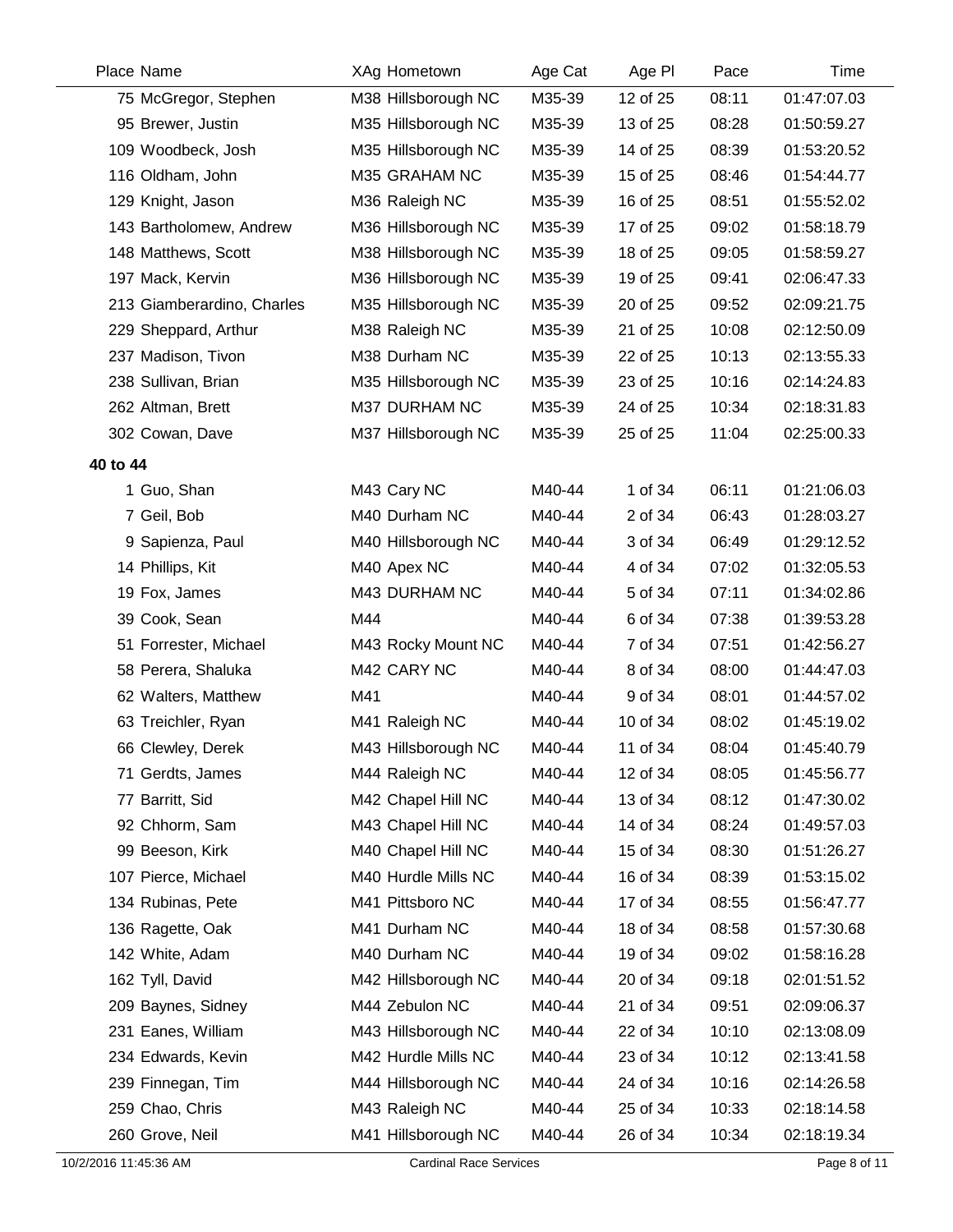|          | Place Name                 | XAg Hometown        | Age Cat | Age PI   | Pace  | Time        |
|----------|----------------------------|---------------------|---------|----------|-------|-------------|
|          | 75 McGregor, Stephen       | M38 Hillsborough NC | M35-39  | 12 of 25 | 08:11 | 01:47:07.03 |
|          | 95 Brewer, Justin          | M35 Hillsborough NC | M35-39  | 13 of 25 | 08:28 | 01:50:59.27 |
|          | 109 Woodbeck, Josh         | M35 Hillsborough NC | M35-39  | 14 of 25 | 08:39 | 01:53:20.52 |
|          | 116 Oldham, John           | M35 GRAHAM NC       | M35-39  | 15 of 25 | 08:46 | 01:54:44.77 |
|          | 129 Knight, Jason          | M36 Raleigh NC      | M35-39  | 16 of 25 | 08:51 | 01:55:52.02 |
|          | 143 Bartholomew, Andrew    | M36 Hillsborough NC | M35-39  | 17 of 25 | 09:02 | 01:58:18.79 |
|          | 148 Matthews, Scott        | M38 Hillsborough NC | M35-39  | 18 of 25 | 09:05 | 01:58:59.27 |
|          | 197 Mack, Kervin           | M36 Hillsborough NC | M35-39  | 19 of 25 | 09:41 | 02:06:47.33 |
|          | 213 Giamberardino, Charles | M35 Hillsborough NC | M35-39  | 20 of 25 | 09:52 | 02:09:21.75 |
|          | 229 Sheppard, Arthur       | M38 Raleigh NC      | M35-39  | 21 of 25 | 10:08 | 02:12:50.09 |
|          | 237 Madison, Tivon         | M38 Durham NC       | M35-39  | 22 of 25 | 10:13 | 02:13:55.33 |
|          | 238 Sullivan, Brian        | M35 Hillsborough NC | M35-39  | 23 of 25 | 10:16 | 02:14:24.83 |
|          | 262 Altman, Brett          | M37 DURHAM NC       | M35-39  | 24 of 25 | 10:34 | 02:18:31.83 |
|          | 302 Cowan, Dave            | M37 Hillsborough NC | M35-39  | 25 of 25 | 11:04 | 02:25:00.33 |
| 40 to 44 |                            |                     |         |          |       |             |
|          | 1 Guo, Shan                | M43 Cary NC         | M40-44  | 1 of 34  | 06:11 | 01:21:06.03 |
|          | 7 Geil, Bob                | M40 Durham NC       | M40-44  | 2 of 34  | 06:43 | 01:28:03.27 |
|          | 9 Sapienza, Paul           | M40 Hillsborough NC | M40-44  | 3 of 34  | 06:49 | 01:29:12.52 |
|          | 14 Phillips, Kit           | M40 Apex NC         | M40-44  | 4 of 34  | 07:02 | 01:32:05.53 |
|          | 19 Fox, James              | M43 DURHAM NC       | M40-44  | 5 of 34  | 07:11 | 01:34:02.86 |
|          | 39 Cook, Sean              | M44                 | M40-44  | 6 of 34  | 07:38 | 01:39:53.28 |
|          | 51 Forrester, Michael      | M43 Rocky Mount NC  | M40-44  | 7 of 34  | 07:51 | 01:42:56.27 |
|          | 58 Perera, Shaluka         | M42 CARY NC         | M40-44  | 8 of 34  | 08:00 | 01:44:47.03 |
|          | 62 Walters, Matthew        | M41                 | M40-44  | 9 of 34  | 08:01 | 01:44:57.02 |
|          | 63 Treichler, Ryan         | M41 Raleigh NC      | M40-44  | 10 of 34 | 08:02 | 01:45:19.02 |
|          | 66 Clewley, Derek          | M43 Hillsborough NC | M40-44  | 11 of 34 | 08:04 | 01:45:40.79 |
|          | 71 Gerdts, James           | M44 Raleigh NC      | M40-44  | 12 of 34 | 08:05 | 01:45:56.77 |
|          | 77 Barritt, Sid            | M42 Chapel Hill NC  | M40-44  | 13 of 34 | 08:12 | 01:47:30.02 |
|          | 92 Chhorm, Sam             | M43 Chapel Hill NC  | M40-44  | 14 of 34 | 08:24 | 01:49:57.03 |
|          | 99 Beeson, Kirk            | M40 Chapel Hill NC  | M40-44  | 15 of 34 | 08:30 | 01:51:26.27 |
|          | 107 Pierce, Michael        | M40 Hurdle Mills NC | M40-44  | 16 of 34 | 08:39 | 01:53:15.02 |
|          | 134 Rubinas, Pete          | M41 Pittsboro NC    | M40-44  | 17 of 34 | 08:55 | 01:56:47.77 |
|          | 136 Ragette, Oak           | M41 Durham NC       | M40-44  | 18 of 34 | 08:58 | 01:57:30.68 |
|          | 142 White, Adam            | M40 Durham NC       | M40-44  | 19 of 34 | 09:02 | 01:58:16.28 |
|          | 162 Tyll, David            | M42 Hillsborough NC | M40-44  | 20 of 34 | 09:18 | 02:01:51.52 |
|          | 209 Baynes, Sidney         | M44 Zebulon NC      | M40-44  | 21 of 34 | 09:51 | 02:09:06.37 |
|          | 231 Eanes, William         | M43 Hillsborough NC | M40-44  | 22 of 34 | 10:10 | 02:13:08.09 |
|          | 234 Edwards, Kevin         | M42 Hurdle Mills NC | M40-44  | 23 of 34 | 10:12 | 02:13:41.58 |
|          | 239 Finnegan, Tim          | M44 Hillsborough NC | M40-44  | 24 of 34 | 10:16 | 02:14:26.58 |
|          | 259 Chao, Chris            | M43 Raleigh NC      | M40-44  | 25 of 34 | 10:33 | 02:18:14.58 |
|          | 260 Grove, Neil            | M41 Hillsborough NC | M40-44  | 26 of 34 | 10:34 | 02:18:19.34 |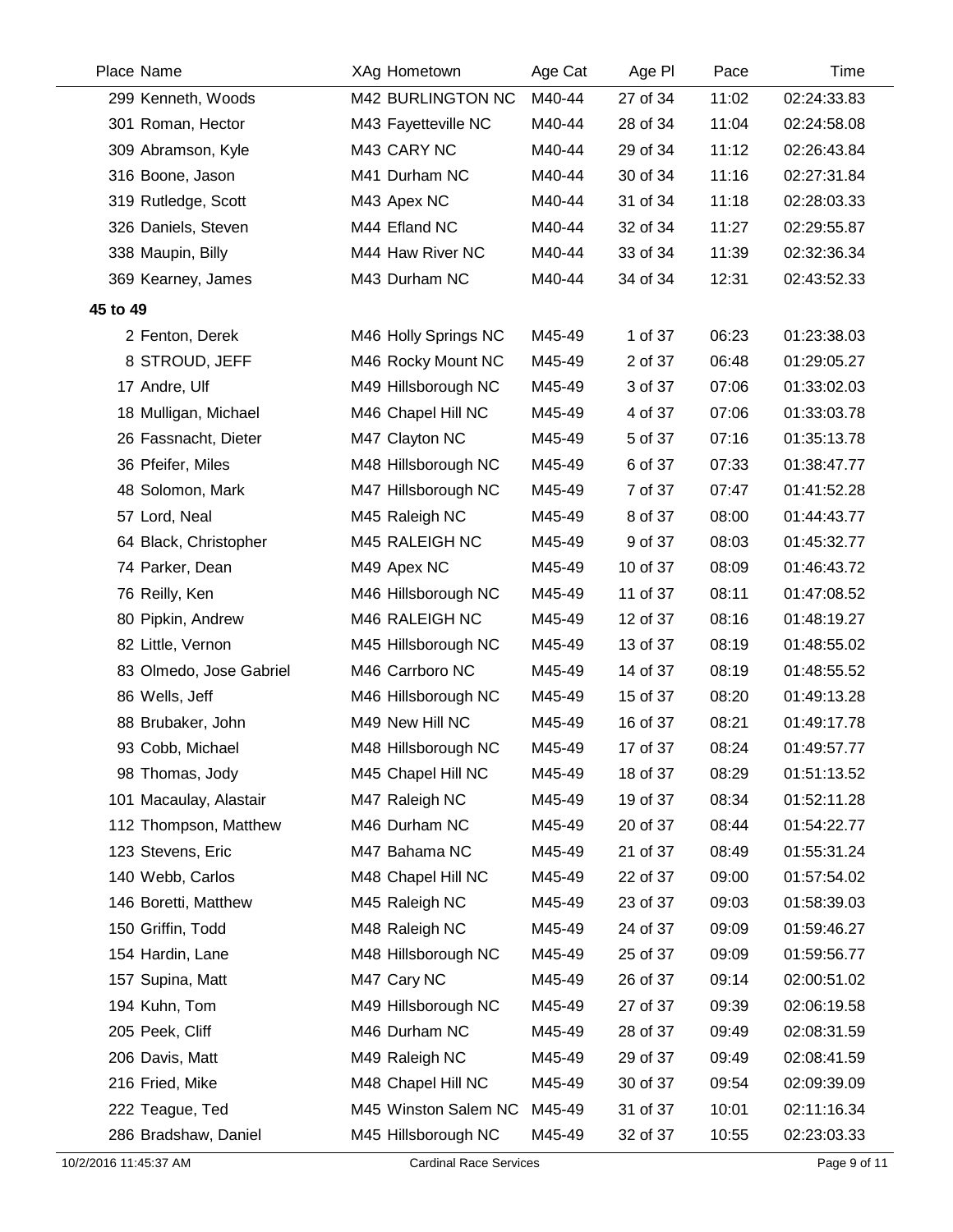| Place Name |                         | XAg Hometown         | Age Cat | Age PI   | Pace  | Time        |
|------------|-------------------------|----------------------|---------|----------|-------|-------------|
|            | 299 Kenneth, Woods      | M42 BURLINGTON NC    | M40-44  | 27 of 34 | 11:02 | 02:24:33.83 |
|            | 301 Roman, Hector       | M43 Fayetteville NC  | M40-44  | 28 of 34 | 11:04 | 02:24:58.08 |
|            | 309 Abramson, Kyle      | M43 CARY NC          | M40-44  | 29 of 34 | 11:12 | 02:26:43.84 |
|            | 316 Boone, Jason        | M41 Durham NC        | M40-44  | 30 of 34 | 11:16 | 02:27:31.84 |
|            | 319 Rutledge, Scott     | M43 Apex NC          | M40-44  | 31 of 34 | 11:18 | 02:28:03.33 |
|            | 326 Daniels, Steven     | M44 Efland NC        | M40-44  | 32 of 34 | 11:27 | 02:29:55.87 |
|            | 338 Maupin, Billy       | M44 Haw River NC     | M40-44  | 33 of 34 | 11:39 | 02:32:36.34 |
|            | 369 Kearney, James      | M43 Durham NC        | M40-44  | 34 of 34 | 12:31 | 02:43:52.33 |
| 45 to 49   |                         |                      |         |          |       |             |
|            | 2 Fenton, Derek         | M46 Holly Springs NC | M45-49  | 1 of 37  | 06:23 | 01:23:38.03 |
|            | 8 STROUD, JEFF          | M46 Rocky Mount NC   | M45-49  | 2 of 37  | 06:48 | 01:29:05.27 |
|            | 17 Andre, Ulf           | M49 Hillsborough NC  | M45-49  | 3 of 37  | 07:06 | 01:33:02.03 |
|            | 18 Mulligan, Michael    | M46 Chapel Hill NC   | M45-49  | 4 of 37  | 07:06 | 01:33:03.78 |
|            | 26 Fassnacht, Dieter    | M47 Clayton NC       | M45-49  | 5 of 37  | 07:16 | 01:35:13.78 |
|            | 36 Pfeifer, Miles       | M48 Hillsborough NC  | M45-49  | 6 of 37  | 07:33 | 01:38:47.77 |
|            | 48 Solomon, Mark        | M47 Hillsborough NC  | M45-49  | 7 of 37  | 07:47 | 01:41:52.28 |
|            | 57 Lord, Neal           | M45 Raleigh NC       | M45-49  | 8 of 37  | 08:00 | 01:44:43.77 |
|            | 64 Black, Christopher   | M45 RALEIGH NC       | M45-49  | 9 of 37  | 08:03 | 01:45:32.77 |
|            | 74 Parker, Dean         | M49 Apex NC          | M45-49  | 10 of 37 | 08:09 | 01:46:43.72 |
|            | 76 Reilly, Ken          | M46 Hillsborough NC  | M45-49  | 11 of 37 | 08:11 | 01:47:08.52 |
|            | 80 Pipkin, Andrew       | M46 RALEIGH NC       | M45-49  | 12 of 37 | 08:16 | 01:48:19.27 |
|            | 82 Little, Vernon       | M45 Hillsborough NC  | M45-49  | 13 of 37 | 08:19 | 01:48:55.02 |
|            | 83 Olmedo, Jose Gabriel | M46 Carrboro NC      | M45-49  | 14 of 37 | 08:19 | 01:48:55.52 |
|            | 86 Wells, Jeff          | M46 Hillsborough NC  | M45-49  | 15 of 37 | 08:20 | 01:49:13.28 |
|            | 88 Brubaker, John       | M49 New Hill NC      | M45-49  | 16 of 37 | 08:21 | 01:49:17.78 |
|            | 93 Cobb, Michael        | M48 Hillsborough NC  | M45-49  | 17 of 37 | 08:24 | 01:49:57.77 |
|            | 98 Thomas, Jody         | M45 Chapel Hill NC   | M45-49  | 18 of 37 | 08:29 | 01:51:13.52 |
|            | 101 Macaulay, Alastair  | M47 Raleigh NC       | M45-49  | 19 of 37 | 08:34 | 01:52:11.28 |
|            | 112 Thompson, Matthew   | M46 Durham NC        | M45-49  | 20 of 37 | 08:44 | 01:54:22.77 |
|            | 123 Stevens, Eric       | M47 Bahama NC        | M45-49  | 21 of 37 | 08:49 | 01:55:31.24 |
|            | 140 Webb, Carlos        | M48 Chapel Hill NC   | M45-49  | 22 of 37 | 09:00 | 01:57:54.02 |
|            | 146 Boretti, Matthew    | M45 Raleigh NC       | M45-49  | 23 of 37 | 09:03 | 01:58:39.03 |
|            | 150 Griffin, Todd       | M48 Raleigh NC       | M45-49  | 24 of 37 | 09:09 | 01:59:46.27 |
|            | 154 Hardin, Lane        | M48 Hillsborough NC  | M45-49  | 25 of 37 | 09:09 | 01:59:56.77 |
|            | 157 Supina, Matt        | M47 Cary NC          | M45-49  | 26 of 37 | 09:14 | 02:00:51.02 |
|            | 194 Kuhn, Tom           | M49 Hillsborough NC  | M45-49  | 27 of 37 | 09:39 | 02:06:19.58 |
|            | 205 Peek, Cliff         | M46 Durham NC        | M45-49  | 28 of 37 | 09:49 | 02:08:31.59 |
|            | 206 Davis, Matt         | M49 Raleigh NC       | M45-49  | 29 of 37 | 09:49 | 02:08:41.59 |
|            | 216 Fried, Mike         | M48 Chapel Hill NC   | M45-49  | 30 of 37 | 09:54 | 02:09:39.09 |
|            | 222 Teague, Ted         | M45 Winston Salem NC | M45-49  | 31 of 37 | 10:01 | 02:11:16.34 |
|            | 286 Bradshaw, Daniel    | M45 Hillsborough NC  | M45-49  | 32 of 37 | 10:55 | 02:23:03.33 |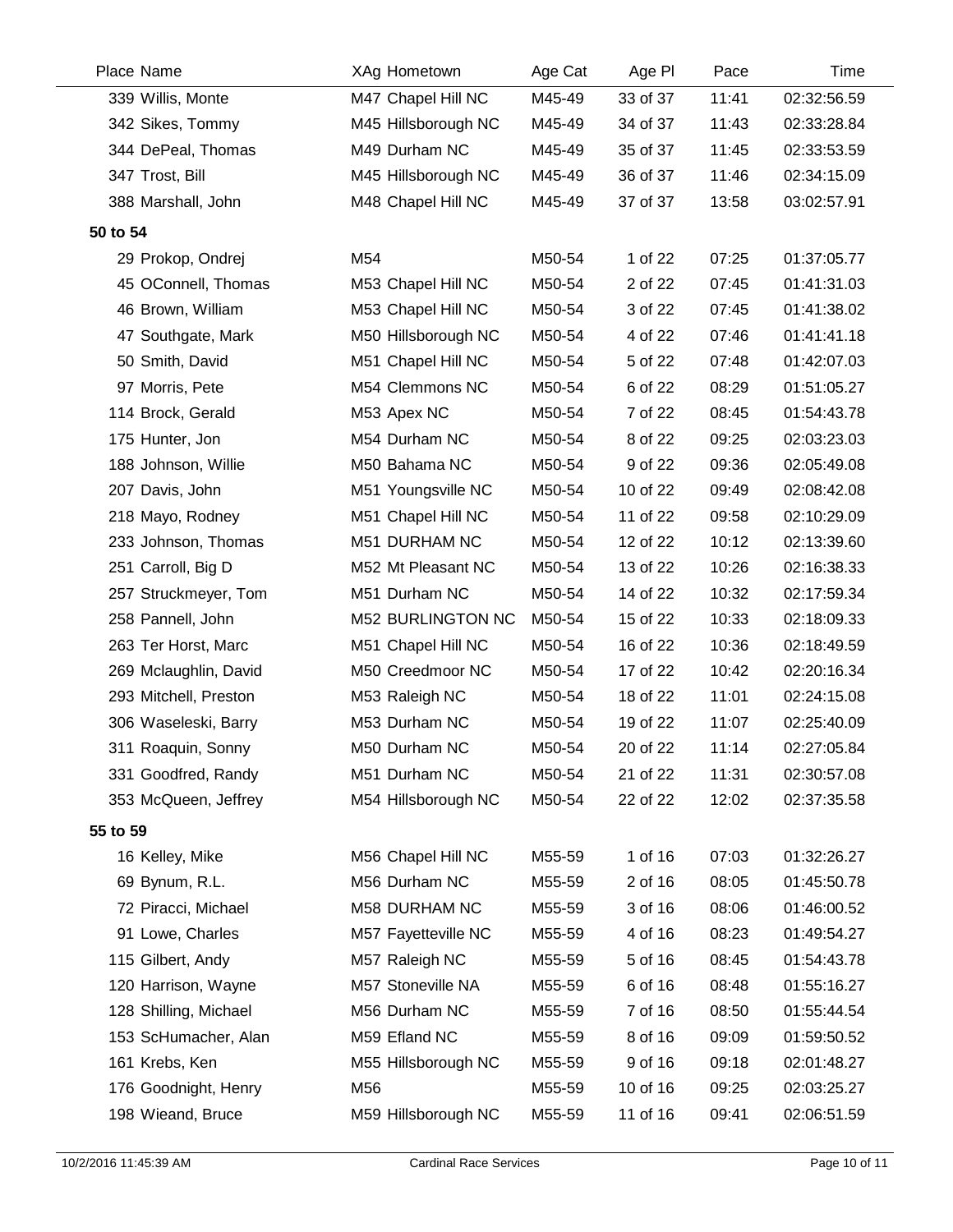|          | Place Name            | XAg Hometown        | Age Cat | Age PI   | Pace  | Time        |
|----------|-----------------------|---------------------|---------|----------|-------|-------------|
|          | 339 Willis, Monte     | M47 Chapel Hill NC  | M45-49  | 33 of 37 | 11:41 | 02:32:56.59 |
|          | 342 Sikes, Tommy      | M45 Hillsborough NC | M45-49  | 34 of 37 | 11:43 | 02:33:28.84 |
|          | 344 DePeal, Thomas    | M49 Durham NC       | M45-49  | 35 of 37 | 11:45 | 02:33:53.59 |
|          | 347 Trost, Bill       | M45 Hillsborough NC | M45-49  | 36 of 37 | 11:46 | 02:34:15.09 |
|          | 388 Marshall, John    | M48 Chapel Hill NC  | M45-49  | 37 of 37 | 13:58 | 03:02:57.91 |
| 50 to 54 |                       |                     |         |          |       |             |
|          | 29 Prokop, Ondrej     | M54                 | M50-54  | 1 of 22  | 07:25 | 01:37:05.77 |
|          | 45 OConnell, Thomas   | M53 Chapel Hill NC  | M50-54  | 2 of 22  | 07:45 | 01:41:31.03 |
|          | 46 Brown, William     | M53 Chapel Hill NC  | M50-54  | 3 of 22  | 07:45 | 01:41:38.02 |
|          | 47 Southgate, Mark    | M50 Hillsborough NC | M50-54  | 4 of 22  | 07:46 | 01:41:41.18 |
|          | 50 Smith, David       | M51 Chapel Hill NC  | M50-54  | 5 of 22  | 07:48 | 01:42:07.03 |
|          | 97 Morris, Pete       | M54 Clemmons NC     | M50-54  | 6 of 22  | 08:29 | 01:51:05.27 |
|          | 114 Brock, Gerald     | M53 Apex NC         | M50-54  | 7 of 22  | 08:45 | 01:54:43.78 |
|          | 175 Hunter, Jon       | M54 Durham NC       | M50-54  | 8 of 22  | 09:25 | 02:03:23.03 |
|          | 188 Johnson, Willie   | M50 Bahama NC       | M50-54  | 9 of 22  | 09:36 | 02:05:49.08 |
|          | 207 Davis, John       | M51 Youngsville NC  | M50-54  | 10 of 22 | 09:49 | 02:08:42.08 |
|          | 218 Mayo, Rodney      | M51 Chapel Hill NC  | M50-54  | 11 of 22 | 09:58 | 02:10:29.09 |
|          | 233 Johnson, Thomas   | M51 DURHAM NC       | M50-54  | 12 of 22 | 10:12 | 02:13:39.60 |
|          | 251 Carroll, Big D    | M52 Mt Pleasant NC  | M50-54  | 13 of 22 | 10:26 | 02:16:38.33 |
|          | 257 Struckmeyer, Tom  | M51 Durham NC       | M50-54  | 14 of 22 | 10:32 | 02:17:59.34 |
|          | 258 Pannell, John     | M52 BURLINGTON NC   | M50-54  | 15 of 22 | 10:33 | 02:18:09.33 |
|          | 263 Ter Horst, Marc   | M51 Chapel Hill NC  | M50-54  | 16 of 22 | 10:36 | 02:18:49.59 |
|          | 269 Mclaughlin, David | M50 Creedmoor NC    | M50-54  | 17 of 22 | 10:42 | 02:20:16.34 |
|          | 293 Mitchell, Preston | M53 Raleigh NC      | M50-54  | 18 of 22 | 11:01 | 02:24:15.08 |
|          | 306 Waseleski, Barry  | M53 Durham NC       | M50-54  | 19 of 22 | 11:07 | 02:25:40.09 |
|          | 311 Roaquin, Sonny    | M50 Durham NC       | M50-54  | 20 of 22 | 11:14 | 02:27:05.84 |
|          | 331 Goodfred, Randy   | M51 Durham NC       | M50-54  | 21 of 22 | 11:31 | 02:30:57.08 |
|          | 353 McQueen, Jeffrey  | M54 Hillsborough NC | M50-54  | 22 of 22 | 12:02 | 02:37:35.58 |
| 55 to 59 |                       |                     |         |          |       |             |
|          | 16 Kelley, Mike       | M56 Chapel Hill NC  | M55-59  | 1 of 16  | 07:03 | 01:32:26.27 |
|          | 69 Bynum, R.L.        | M56 Durham NC       | M55-59  | 2 of 16  | 08:05 | 01:45:50.78 |
|          | 72 Piracci, Michael   | M58 DURHAM NC       | M55-59  | 3 of 16  | 08:06 | 01:46:00.52 |
|          | 91 Lowe, Charles      | M57 Fayetteville NC | M55-59  | 4 of 16  | 08:23 | 01:49:54.27 |
|          | 115 Gilbert, Andy     | M57 Raleigh NC      | M55-59  | 5 of 16  | 08:45 | 01:54:43.78 |
|          | 120 Harrison, Wayne   | M57 Stoneville NA   | M55-59  | 6 of 16  | 08:48 | 01:55:16.27 |
|          | 128 Shilling, Michael | M56 Durham NC       | M55-59  | 7 of 16  | 08:50 | 01:55:44.54 |
|          | 153 ScHumacher, Alan  | M59 Efland NC       | M55-59  | 8 of 16  | 09:09 | 01:59:50.52 |
|          | 161 Krebs, Ken        | M55 Hillsborough NC | M55-59  | 9 of 16  | 09:18 | 02:01:48.27 |
|          | 176 Goodnight, Henry  | M56                 | M55-59  | 10 of 16 | 09:25 | 02:03:25.27 |
|          | 198 Wieand, Bruce     | M59 Hillsborough NC | M55-59  | 11 of 16 | 09:41 | 02:06:51.59 |